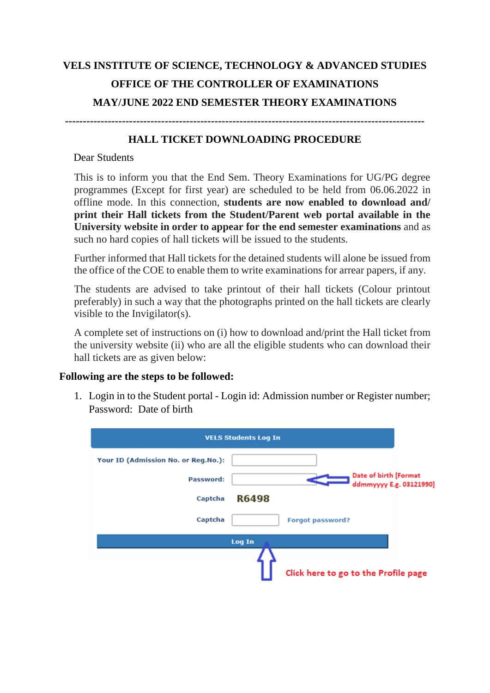## **VELS INSTITUTE OF SCIENCE, TECHNOLOGY & ADVANCED STUDIES OFFICE OF THE CONTROLLER OF EXAMINATIONS MAY/JUNE 2022 END SEMESTER THEORY EXAMINATIONS**

**-----------------------------------------------------------------------------------------------------**

## **HALL TICKET DOWNLOADING PROCEDURE**

## Dear Students

This is to inform you that the End Sem. Theory Examinations for UG/PG degree programmes (Except for first year) are scheduled to be held from 06.06.2022 in offline mode. In this connection, **students are now enabled to download and/ print their Hall tickets from the Student/Parent web portal available in the University website in order to appear for the end semester examinations** and as such no hard copies of hall tickets will be issued to the students.

Further informed that Hall tickets for the detained students will alone be issued from the office of the COE to enable them to write examinations for arrear papers, if any.

The students are advised to take printout of their hall tickets (Colour printout preferably) in such a way that the photographs printed on the hall tickets are clearly visible to the Invigilator(s).

A complete set of instructions on (i) how to download and/print the Hall ticket from the university website (ii) who are all the eligible students who can download their hall tickets are as given below:

## **Following are the steps to be followed:**

1. Login in to the Student portal - Login id: Admission number or Register number; Password: Date of birth